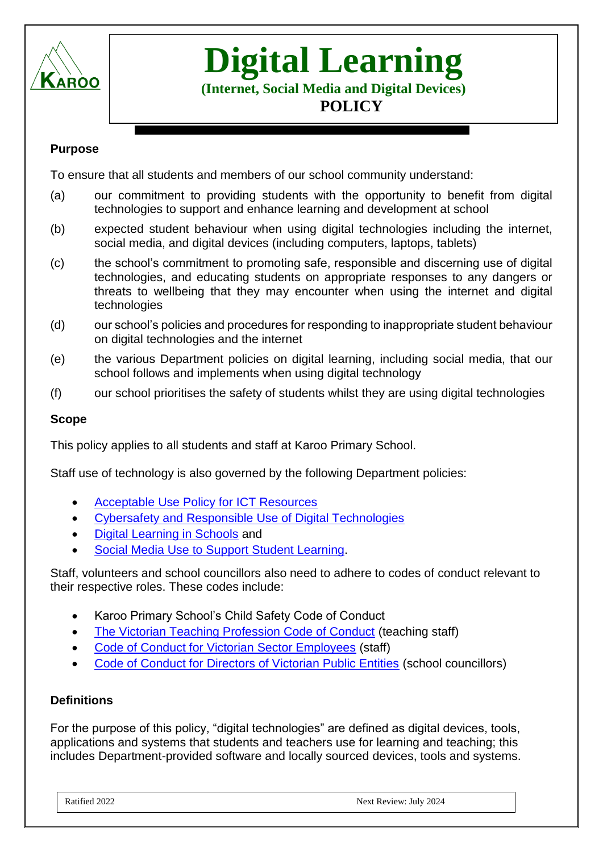

# **Digital Learning**

**(Internet, Social Media and Digital Devices) POLICY**

## **Purpose**

To ensure that all students and members of our school community understand:

- (a) our commitment to providing students with the opportunity to benefit from digital technologies to support and enhance learning and development at school
- (b) expected student behaviour when using digital technologies including the internet, social media, and digital devices (including computers, laptops, tablets)
- (c) the school's commitment to promoting safe, responsible and discerning use of digital technologies, and educating students on appropriate responses to any dangers or threats to wellbeing that they may encounter when using the internet and digital technologies
- (d) our school's policies and procedures for responding to inappropriate student behaviour on digital technologies and the internet
- (e) the various Department policies on digital learning, including social media, that our school follows and implements when using digital technology
- (f) our school prioritises the safety of students whilst they are using digital technologies

### **Scope**

This policy applies to all students and staff at Karoo Primary School.

Staff use of technology is also governed by the following Department policies:

- [Acceptable Use Policy for ICT Resources](https://www2.education.vic.gov.au/pal/ict-acceptable-use/overview)
- [Cybersafety and Responsible Use of Digital Technologies](https://www2.education.vic.gov.au/pal/cybersafety/policy)
- [Digital Learning in Schools](https://www2.education.vic.gov.au/pal/digital-learning/policy) and
- [Social Media Use to Support Student Learning.](https://www2.education.vic.gov.au/pal/social-media/policy)

Staff, volunteers and school councillors also need to adhere to codes of conduct relevant to their respective roles. These codes include:

- Karoo Primary School's Child Safety Code of Conduct
- [The Victorian Teaching Profession Code of Conduct](https://www.vit.vic.edu.au/__data/assets/pdf_file/0018/35604/Code-of-Conduct-2016.pdf) (teaching staff)
- [Code of Conduct for Victorian Sector Employees](https://www2.education.vic.gov.au/pal/code-conduct/overview) (staff)
- [Code of Conduct for Directors of Victorian Public Entities](https://www2.education.vic.gov.au/pal/school-council-conduct/policy) (school councillors)

#### **Definitions**

For the purpose of this policy, "digital technologies" are defined as digital devices, tools, applications and systems that students and teachers use for learning and teaching; this includes Department-provided software and locally sourced devices, tools and systems.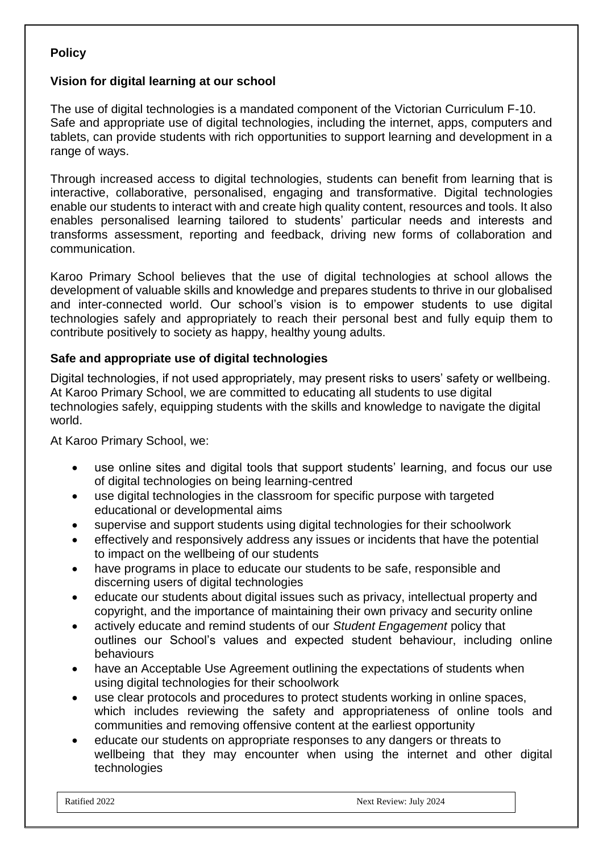# **Policy**

## **Vision for digital learning at our school**

The use of digital technologies is a mandated component of the Victorian Curriculum F-10. Safe and appropriate use of digital technologies, including the internet, apps, computers and tablets, can provide students with rich opportunities to support learning and development in a range of ways.

Through increased access to digital technologies, students can benefit from learning that is interactive, collaborative, personalised, engaging and transformative. Digital technologies enable our students to interact with and create high quality content, resources and tools. It also enables personalised learning tailored to students' particular needs and interests and transforms assessment, reporting and feedback, driving new forms of collaboration and communication.

Karoo Primary School believes that the use of digital technologies at school allows the development of valuable skills and knowledge and prepares students to thrive in our globalised and inter-connected world. Our school's vision is to empower students to use digital technologies safely and appropriately to reach their personal best and fully equip them to contribute positively to society as happy, healthy young adults.

### **Safe and appropriate use of digital technologies**

Digital technologies, if not used appropriately, may present risks to users' safety or wellbeing. At Karoo Primary School, we are committed to educating all students to use digital technologies safely, equipping students with the skills and knowledge to navigate the digital world.

At Karoo Primary School, we:

- use online sites and digital tools that support students' learning, and focus our use of digital technologies on being learning-centred
- use digital technologies in the classroom for specific purpose with targeted educational or developmental aims
- supervise and support students using digital technologies for their schoolwork
- effectively and responsively address any issues or incidents that have the potential to impact on the wellbeing of our students
- have programs in place to educate our students to be safe, responsible and discerning users of digital technologies
- educate our students about digital issues such as privacy, intellectual property and copyright, and the importance of maintaining their own privacy and security online
- actively educate and remind students of our *Student Engagement* policy that outlines our School's values and expected student behaviour, including online behaviours
- have an Acceptable Use Agreement outlining the expectations of students when using digital technologies for their schoolwork
- use clear protocols and procedures to protect students working in online spaces, which includes reviewing the safety and appropriateness of online tools and communities and removing offensive content at the earliest opportunity
- educate our students on appropriate responses to any dangers or threats to wellbeing that they may encounter when using the internet and other digital technologies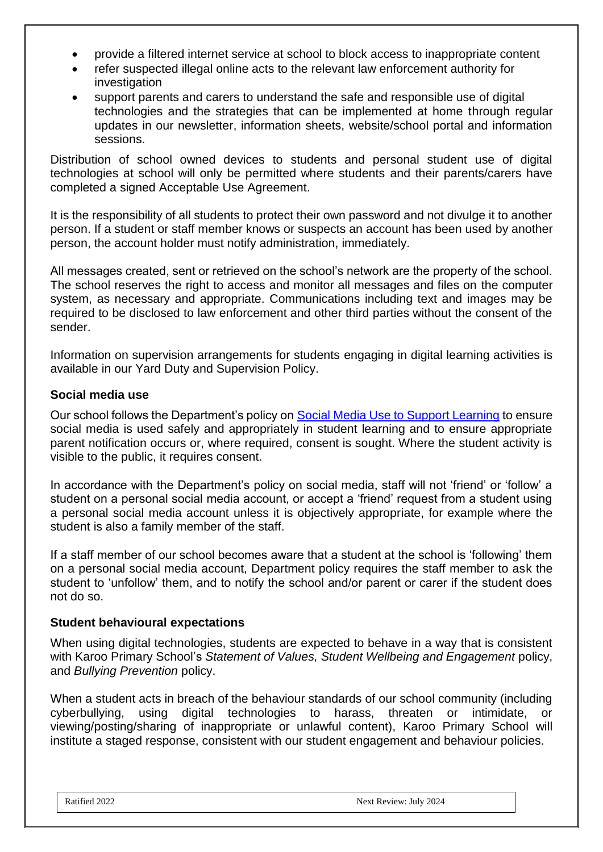- provide a filtered internet service at school to block access to inappropriate content
- refer suspected illegal online acts to the relevant law enforcement authority for investigation
- support parents and carers to understand the safe and responsible use of digital technologies and the strategies that can be implemented at home through regular updates in our newsletter, information sheets, website/school portal and information sessions.

Distribution of school owned devices to students and personal student use of digital technologies at school will only be permitted where students and their parents/carers have completed a signed Acceptable Use Agreement.

It is the responsibility of all students to protect their own password and not divulge it to another person. If a student or staff member knows or suspects an account has been used by another person, the account holder must notify administration, immediately.

All messages created, sent or retrieved on the school's network are the property of the school. The school reserves the right to access and monitor all messages and files on the computer system, as necessary and appropriate. Communications including text and images may be required to be disclosed to law enforcement and other third parties without the consent of the sender.

Information on supervision arrangements for students engaging in digital learning activities is available in our Yard Duty and Supervision Policy.

### **Social media use**

Our school follows the Department's policy on [Social Media Use to Support Learning](https://www2.education.vic.gov.au/pal/social-media/policy) to ensure social media is used safely and appropriately in student learning and to ensure appropriate parent notification occurs or, where required, consent is sought. Where the student activity is visible to the public, it requires consent.

In accordance with the Department's policy on social media, staff will not 'friend' or 'follow' a student on a personal social media account, or accept a 'friend' request from a student using a personal social media account unless it is objectively appropriate, for example where the student is also a family member of the staff.

If a staff member of our school becomes aware that a student at the school is 'following' them on a personal social media account, Department policy requires the staff member to ask the student to 'unfollow' them, and to notify the school and/or parent or carer if the student does not do so.

#### **Student behavioural expectations**

When using digital technologies, students are expected to behave in a way that is consistent with Karoo Primary School's *Statement of Values, Student Wellbeing and Engagement* policy, and *Bullying Prevention* policy.

When a student acts in breach of the behaviour standards of our school community (including cyberbullying, using digital technologies to harass, threaten or intimidate, or viewing/posting/sharing of inappropriate or unlawful content), Karoo Primary School will institute a staged response, consistent with our student engagement and behaviour policies*.*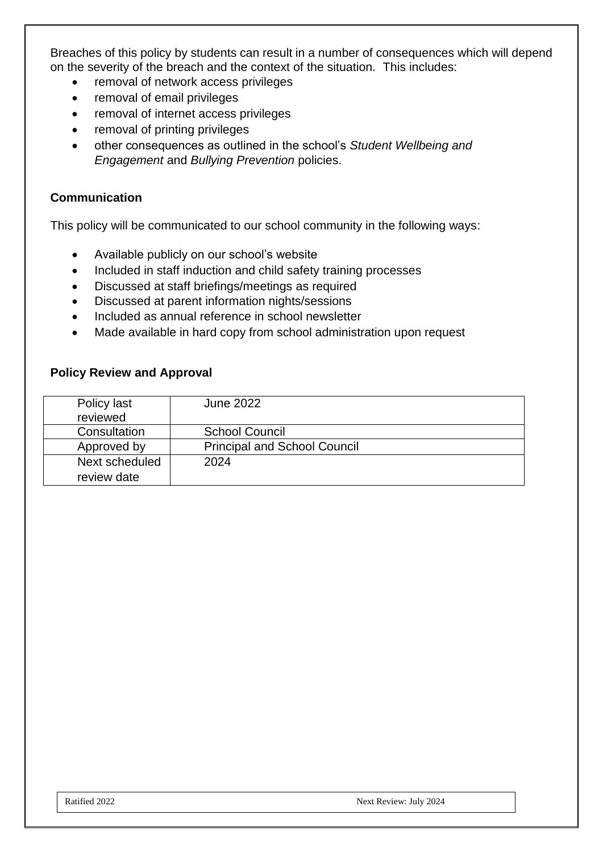Breaches of this policy by students can result in a number of consequences which will depend on the severity of the breach and the context of the situation. This includes:

- removal of network access privileges
- removal of email privileges
- removal of internet access privileges
- removal of printing privileges
- other consequences as outlined in the school's *Student Wellbeing and Engagement* and *Bullying Prevention* policies.

#### **Communication**

This policy will be communicated to our school community in the following ways:

- Available publicly on our school's website
- Included in staff induction and child safety training processes
- Discussed at staff briefings/meetings as required
- Discussed at parent information nights/sessions
- Included as annual reference in school newsletter
- Made available in hard copy from school administration upon request

### **Policy Review and Approval**

| Policy last    | <b>June 2022</b>                    |
|----------------|-------------------------------------|
| reviewed       |                                     |
| Consultation   | <b>School Council</b>               |
| Approved by    | <b>Principal and School Council</b> |
| Next scheduled | 2024                                |
| review date    |                                     |